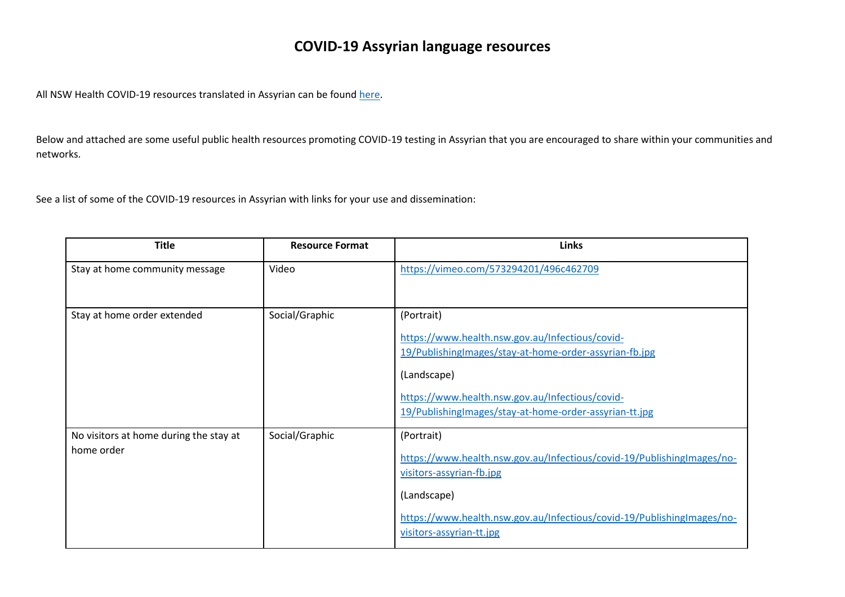## **COVID-19 Assyrian language resources**

All NSW Health COVID-19 resources translated in Assyrian can be found [here.](https://www.health.nsw.gov.au/Infectious/covid-19/Pages/translated/assyrian.aspx)

Below and attached are some useful public health resources promoting COVID-19 testing in Assyrian that you are encouraged to share within your communities and networks.

See a list of some of the COVID-19 resources in Assyrian with links for your use and dissemination:

| <b>Title</b>                                         | <b>Resource Format</b> | <b>Links</b>                                                                                                                                                                                                                                        |
|------------------------------------------------------|------------------------|-----------------------------------------------------------------------------------------------------------------------------------------------------------------------------------------------------------------------------------------------------|
| Stay at home community message                       | Video                  | https://vimeo.com/573294201/496c462709                                                                                                                                                                                                              |
| Stay at home order extended                          | Social/Graphic         | (Portrait)<br>https://www.health.nsw.gov.au/Infectious/covid-<br>19/PublishingImages/stay-at-home-order-assyrian-fb.jpg<br>(Landscape)<br>https://www.health.nsw.gov.au/Infectious/covid-<br>19/PublishingImages/stay-at-home-order-assyrian-tt.jpg |
| No visitors at home during the stay at<br>home order | Social/Graphic         | (Portrait)<br>https://www.health.nsw.gov.au/Infectious/covid-19/PublishingImages/no-<br>visitors-assyrian-fb.jpg<br>(Landscape)<br>https://www.health.nsw.gov.au/Infectious/covid-19/PublishingImages/no-<br>visitors-assyrian-tt.jpg               |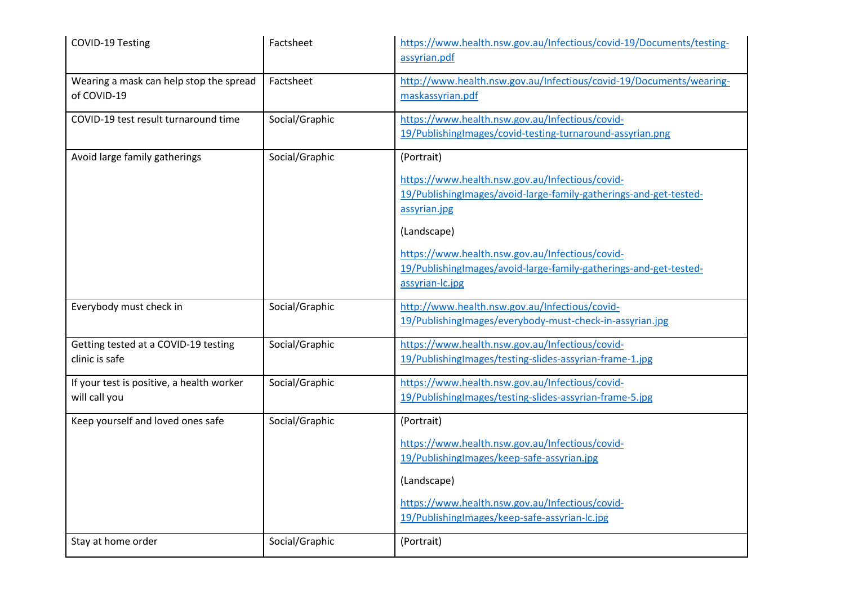| COVID-19 Testing                                           | Factsheet      | https://www.health.nsw.gov.au/Infectious/covid-19/Documents/testing-<br>assyrian.pdf                                                                                                                                                                                                                         |
|------------------------------------------------------------|----------------|--------------------------------------------------------------------------------------------------------------------------------------------------------------------------------------------------------------------------------------------------------------------------------------------------------------|
| Wearing a mask can help stop the spread<br>of COVID-19     | Factsheet      | http://www.health.nsw.gov.au/Infectious/covid-19/Documents/wearing-<br>maskassyrian.pdf                                                                                                                                                                                                                      |
| COVID-19 test result turnaround time                       | Social/Graphic | https://www.health.nsw.gov.au/Infectious/covid-<br>19/PublishingImages/covid-testing-turnaround-assyrian.png                                                                                                                                                                                                 |
| Avoid large family gatherings                              | Social/Graphic | (Portrait)<br>https://www.health.nsw.gov.au/Infectious/covid-<br>19/PublishingImages/avoid-large-family-gatherings-and-get-tested-<br>assyrian.jpg<br>(Landscape)<br>https://www.health.nsw.gov.au/Infectious/covid-<br>19/PublishingImages/avoid-large-family-gatherings-and-get-tested-<br>assyrian-Ic.jpg |
| Everybody must check in                                    | Social/Graphic | http://www.health.nsw.gov.au/Infectious/covid-<br>19/PublishingImages/everybody-must-check-in-assyrian.jpg                                                                                                                                                                                                   |
| Getting tested at a COVID-19 testing<br>clinic is safe     | Social/Graphic | https://www.health.nsw.gov.au/Infectious/covid-<br>19/PublishingImages/testing-slides-assyrian-frame-1.jpg                                                                                                                                                                                                   |
| If your test is positive, a health worker<br>will call you | Social/Graphic | https://www.health.nsw.gov.au/Infectious/covid-<br>19/PublishingImages/testing-slides-assyrian-frame-5.jpg                                                                                                                                                                                                   |
| Keep yourself and loved ones safe                          | Social/Graphic | (Portrait)<br>https://www.health.nsw.gov.au/Infectious/covid-<br>19/PublishingImages/keep-safe-assyrian.jpg<br>(Landscape)<br>https://www.health.nsw.gov.au/Infectious/covid-<br>19/PublishingImages/keep-safe-assyrian-Ic.jpg                                                                               |
| Stay at home order                                         | Social/Graphic | (Portrait)                                                                                                                                                                                                                                                                                                   |